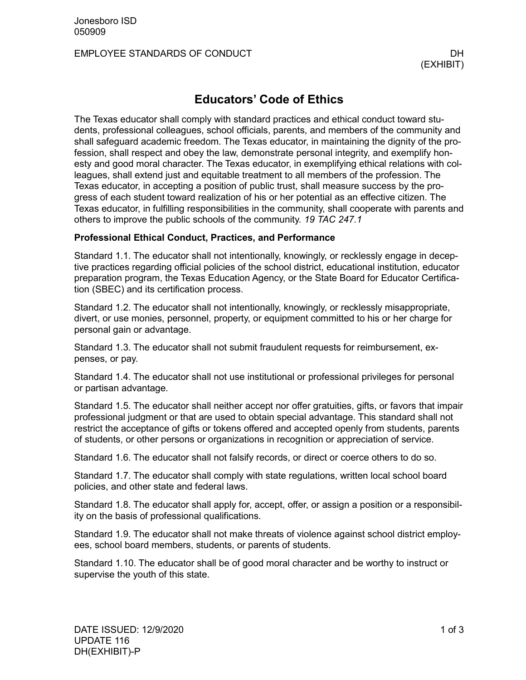## EMPLOYEE STANDARDS OF CONDUCT AND RESIDENCE OF A RESIDENCE OF A RESIDENCE OF A RESIDENCE OF A RESIDENCE OF A R

# **Educators' Code of Ethics**

The Texas educator shall comply with standard practices and ethical conduct toward students, professional colleagues, school officials, parents, and members of the community and shall safeguard academic freedom. The Texas educator, in maintaining the dignity of the profession, shall respect and obey the law, demonstrate personal integrity, and exemplify honesty and good moral character. The Texas educator, in exemplifying ethical relations with colleagues, shall extend just and equitable treatment to all members of the profession. The Texas educator, in accepting a position of public trust, shall measure success by the progress of each student toward realization of his or her potential as an effective citizen. The Texas educator, in fulfilling responsibilities in the community, shall cooperate with parents and others to improve the public schools of the community. *19 TAC 247.1*

### **Professional Ethical Conduct, Practices, and Performance**

Standard 1.1. The educator shall not intentionally, knowingly, or recklessly engage in deceptive practices regarding official policies of the school district, educational institution, educator preparation program, the Texas Education Agency, or the State Board for Educator Certification (SBEC) and its certification process.

Standard 1.2. The educator shall not intentionally, knowingly, or recklessly misappropriate, divert, or use monies, personnel, property, or equipment committed to his or her charge for personal gain or advantage.

Standard 1.3. The educator shall not submit fraudulent requests for reimbursement, expenses, or pay.

Standard 1.4. The educator shall not use institutional or professional privileges for personal or partisan advantage.

Standard 1.5. The educator shall neither accept nor offer gratuities, gifts, or favors that impair professional judgment or that are used to obtain special advantage. This standard shall not restrict the acceptance of gifts or tokens offered and accepted openly from students, parents of students, or other persons or organizations in recognition or appreciation of service.

Standard 1.6. The educator shall not falsify records, or direct or coerce others to do so.

Standard 1.7. The educator shall comply with state regulations, written local school board policies, and other state and federal laws.

Standard 1.8. The educator shall apply for, accept, offer, or assign a position or a responsibility on the basis of professional qualifications.

Standard 1.9. The educator shall not make threats of violence against school district employees, school board members, students, or parents of students.

Standard 1.10. The educator shall be of good moral character and be worthy to instruct or supervise the youth of this state.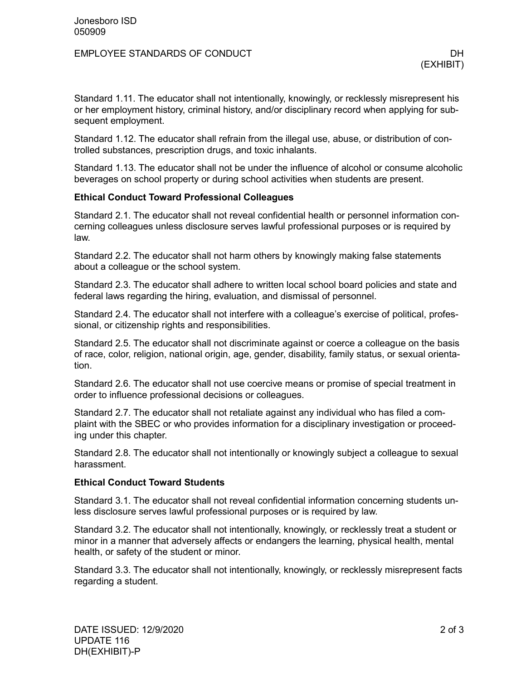## EMPLOYEE STANDARDS OF CONDUCT AND RESIDENCE OF A RESIDENCE OF A RESIDENCE OF A RESIDENCE OF A RESIDENCE OF A R

Standard 1.11. The educator shall not intentionally, knowingly, or recklessly misrepresent his or her employment history, criminal history, and/or disciplinary record when applying for subsequent employment.

Standard 1.12. The educator shall refrain from the illegal use, abuse, or distribution of controlled substances, prescription drugs, and toxic inhalants.

Standard 1.13. The educator shall not be under the influence of alcohol or consume alcoholic beverages on school property or during school activities when students are present.

### **Ethical Conduct Toward Professional Colleagues**

Standard 2.1. The educator shall not reveal confidential health or personnel information concerning colleagues unless disclosure serves lawful professional purposes or is required by law.

Standard 2.2. The educator shall not harm others by knowingly making false statements about a colleague or the school system.

Standard 2.3. The educator shall adhere to written local school board policies and state and federal laws regarding the hiring, evaluation, and dismissal of personnel.

Standard 2.4. The educator shall not interfere with a colleague's exercise of political, professional, or citizenship rights and responsibilities.

Standard 2.5. The educator shall not discriminate against or coerce a colleague on the basis of race, color, religion, national origin, age, gender, disability, family status, or sexual orientation.

Standard 2.6. The educator shall not use coercive means or promise of special treatment in order to influence professional decisions or colleagues.

Standard 2.7. The educator shall not retaliate against any individual who has filed a complaint with the SBEC or who provides information for a disciplinary investigation or proceeding under this chapter.

Standard 2.8. The educator shall not intentionally or knowingly subject a colleague to sexual harassment.

### **Ethical Conduct Toward Students**

Standard 3.1. The educator shall not reveal confidential information concerning students unless disclosure serves lawful professional purposes or is required by law.

Standard 3.2. The educator shall not intentionally, knowingly, or recklessly treat a student or minor in a manner that adversely affects or endangers the learning, physical health, mental health, or safety of the student or minor.

Standard 3.3. The educator shall not intentionally, knowingly, or recklessly misrepresent facts regarding a student.